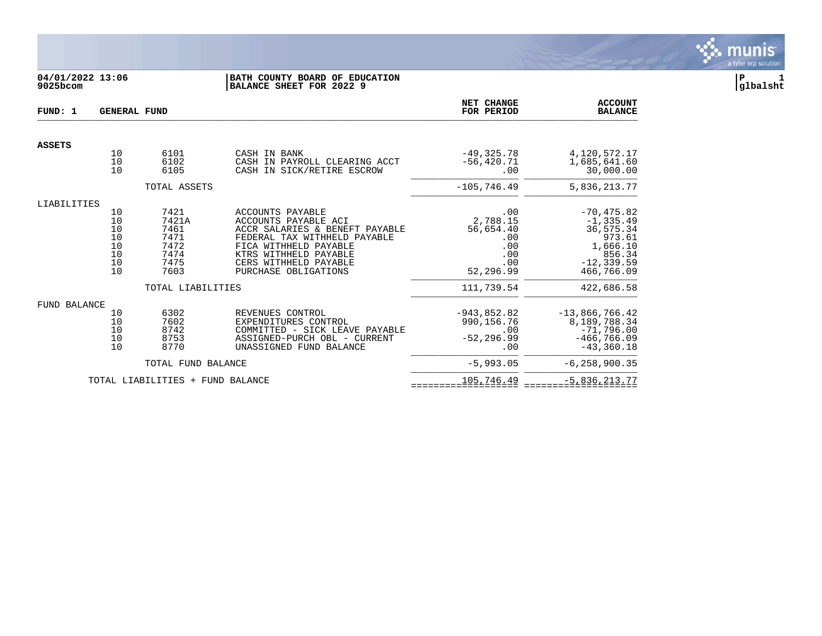

# **04/01/2022 13:06 |BATH COUNTY BOARD OF EDUCATION |P 1 9025bcom |BALANCE SHEET FOR 2022 9 |glbalsht**

| FUND: 1             | <b>GENERAL FUND</b>                          |                                                               |                                                                                                                                                                                                                      | NET CHANGE<br>FOR PERIOD                                              | <b>ACCOUNT</b><br><b>BALANCE</b>                                                                          |
|---------------------|----------------------------------------------|---------------------------------------------------------------|----------------------------------------------------------------------------------------------------------------------------------------------------------------------------------------------------------------------|-----------------------------------------------------------------------|-----------------------------------------------------------------------------------------------------------|
| <b>ASSETS</b>       |                                              |                                                               |                                                                                                                                                                                                                      |                                                                       |                                                                                                           |
|                     | 10<br>10<br>10                               | 6101<br>6102<br>6105                                          | CASH IN BANK<br>CASH IN PAYROLL CLEARING ACCT<br>CASH IN SICK/RETIRE ESCROW                                                                                                                                          | $-49, 325.78$<br>$-56, 420.71$<br>.00                                 | 4,120,572.17<br>1,685,641.60<br>30,000.00                                                                 |
|                     |                                              | TOTAL ASSETS                                                  |                                                                                                                                                                                                                      | $-105, 746.49$                                                        | 5,836,213.77                                                                                              |
| LIABILITIES         |                                              |                                                               |                                                                                                                                                                                                                      |                                                                       |                                                                                                           |
|                     | 10<br>10<br>10<br>10<br>10<br>10<br>10<br>10 | 7421<br>7421A<br>7461<br>7471<br>7472<br>7474<br>7475<br>7603 | <b>ACCOUNTS PAYABLE</b><br>ACCOUNTS PAYABLE ACI<br>ACCR SALARIES & BENEFT PAYABLE<br>FEDERAL TAX WITHHELD PAYABLE<br>FICA WITHHELD PAYABLE<br>KTRS WITHHELD PAYABLE<br>CERS WITHHELD PAYABLE<br>PURCHASE OBLIGATIONS | .00<br>2,788.15<br>56,654.40<br>.00<br>.00<br>.00<br>.00<br>52,296.99 | $-70, 475.82$<br>$-1, 335.49$<br>36,575.34<br>973.61<br>1,666.10<br>856.34<br>$-12, 339.59$<br>466,766.09 |
|                     |                                              | TOTAL LIABILITIES                                             |                                                                                                                                                                                                                      | 111,739.54                                                            | 422,686.58                                                                                                |
| <b>FUND BALANCE</b> |                                              |                                                               |                                                                                                                                                                                                                      |                                                                       |                                                                                                           |
|                     | 10<br>10<br>10<br>10<br>10                   | 6302<br>7602<br>8742<br>8753<br>8770                          | REVENUES CONTROL<br>EXPENDITURES CONTROL<br>COMMITTED - SICK LEAVE PAYABLE<br>ASSIGNED-PURCH OBL - CURRENT<br>UNASSIGNED FUND BALANCE                                                                                | $-943,852.82$<br>990,156.76<br>.00<br>$-52, 296.99$<br>.00            | $-13,866,766.42$<br>8,189,788.34<br>$-71,796.00$<br>$-466, 766.09$<br>$-43, 360.18$                       |
|                     |                                              | TOTAL FUND BALANCE                                            |                                                                                                                                                                                                                      | $-5,993.05$                                                           | $-6, 258, 900.35$                                                                                         |
|                     |                                              | TOTAL LIABILITIES + FUND BALANCE                              |                                                                                                                                                                                                                      | 105,746.49                                                            | $-5,836,213.77$                                                                                           |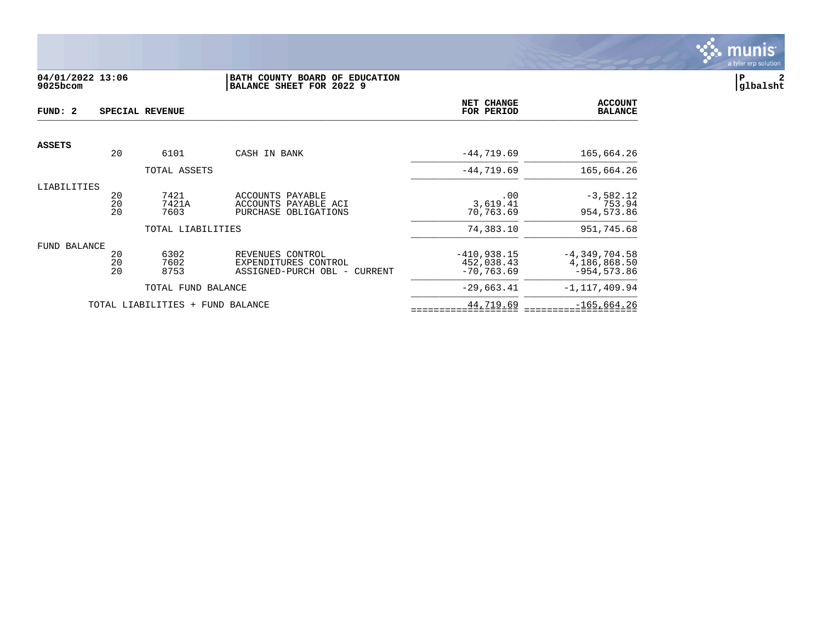

## **04/01/2022 13:06 |BATH COUNTY BOARD OF EDUCATION |P 2 9025bcom |BALANCE SHEET FOR 2022 9 |glbalsht**

| FUND: 2       | SPECIAL REVENUE |                                  |                                              |                       | <b>ACCOUNT</b><br><b>BALANCE</b> |
|---------------|-----------------|----------------------------------|----------------------------------------------|-----------------------|----------------------------------|
| <b>ASSETS</b> |                 |                                  |                                              |                       |                                  |
|               | 20              | 6101                             | CASH IN BANK                                 | $-44,719.69$          | 165,664.26                       |
|               |                 | TOTAL ASSETS                     |                                              | $-44,719.69$          | 165,664.26                       |
| LIABILITIES   |                 |                                  |                                              |                       |                                  |
|               | 20              | 7421                             | ACCOUNTS PAYABLE                             | .00                   | $-3,582.12$                      |
|               | 20<br>20        | 7421A<br>7603                    | ACCOUNTS PAYABLE ACI<br>PURCHASE OBLIGATIONS | 3,619.41<br>70,763.69 | 753.94<br>954, 573.86            |
|               |                 |                                  |                                              |                       |                                  |
|               |                 | TOTAL LIABILITIES                |                                              | 74,383.10             | 951,745.68                       |
| FUND BALANCE  |                 |                                  |                                              |                       |                                  |
|               | 20              | 6302                             | REVENUES CONTROL                             | $-410,938.15$         | $-4, 349, 704.58$                |
|               | 20              | 7602                             | EXPENDITURES CONTROL                         | 452,038.43            | 4,186,868.50                     |
|               | 20              | 8753                             | ASSIGNED-PURCH OBL - CURRENT                 | $-70, 763.69$         | $-954, 573.86$                   |
|               |                 | TOTAL FUND BALANCE               |                                              | $-29,663.41$          | $-1, 117, 409.94$                |
|               |                 | TOTAL LIABILITIES + FUND BALANCE |                                              | 44,719.69             | $-165,664.26$                    |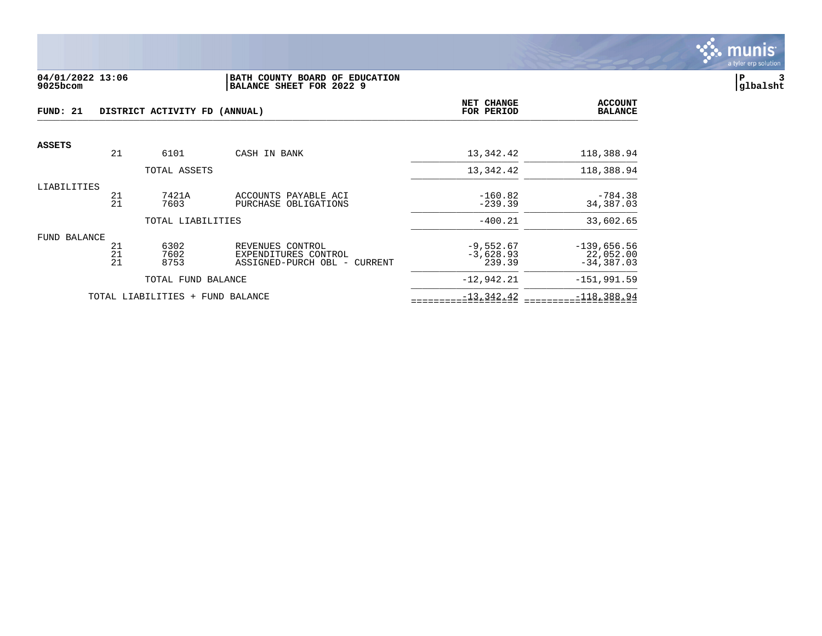

#### **04/01/2022 13:06 |BATH COUNTY BOARD OF EDUCATION |P 3 9025bcom |BALANCE SHEET FOR 2022 9 |glbalsht**

| FUND: 21      |          | DISTRICT ACTIVITY FD (ANNUAL)    |                                                      | NET CHANGE<br>FOR PERIOD | <b>ACCOUNT</b><br><b>BALANCE</b> |
|---------------|----------|----------------------------------|------------------------------------------------------|--------------------------|----------------------------------|
| <b>ASSETS</b> |          |                                  |                                                      |                          |                                  |
|               | 21       | 6101                             | CASH IN BANK                                         | 13,342.42                | 118,388.94                       |
|               |          | TOTAL ASSETS                     |                                                      | 13,342.42                | 118,388.94                       |
| LIABILITIES   | 21       | 7421A                            | ACCOUNTS PAYABLE ACI                                 | $-160.82$                | $-784.38$                        |
|               | 21       | 7603                             | PURCHASE OBLIGATIONS                                 | $-239.39$                | 34,387.03                        |
|               |          | TOTAL LIABILITIES                |                                                      | $-400.21$                | 33,602.65                        |
| FUND BALANCE  |          |                                  |                                                      |                          |                                  |
|               | 21       | 6302                             | REVENUES CONTROL                                     | $-9,552.67$              | $-139,656.56$                    |
|               | 21<br>21 | 7602<br>8753                     | EXPENDITURES CONTROL<br>ASSIGNED-PURCH OBL - CURRENT | $-3,628.93$<br>239.39    | 22,052.00<br>$-34, 387.03$       |
|               |          | TOTAL FUND BALANCE               |                                                      | $-12,942.21$             | $-151,991.59$                    |
|               |          | TOTAL LIABILITIES + FUND BALANCE |                                                      | $-13, 342.42$            | $-118,388.94$                    |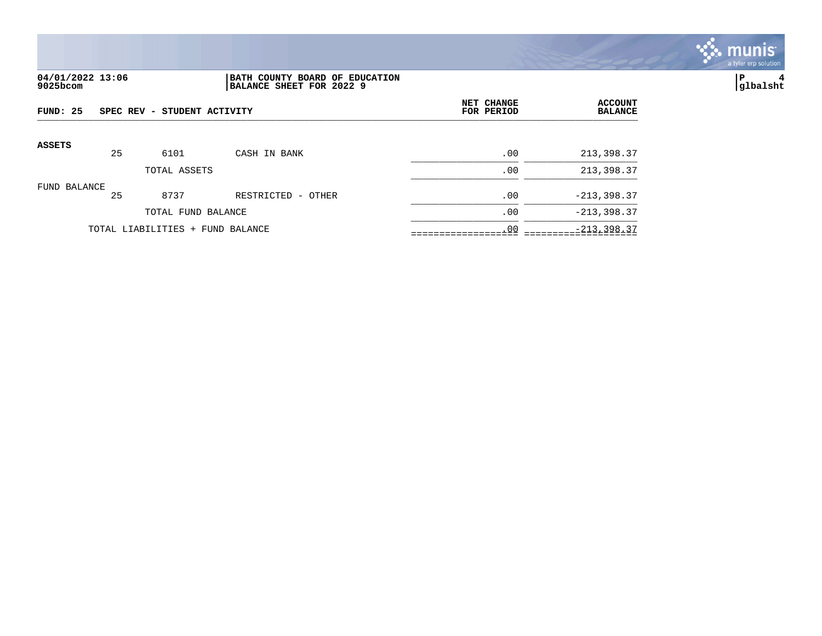

## **04/01/2022 13:06 |BATH COUNTY BOARD OF EDUCATION |P 4 9025bcom |BALANCE SHEET FOR 2022 9 |glbalsht**

| FUND: 25      |    | SPEC REV - STUDENT ACTIVITY      |                    | NET CHANGE<br>FOR PERIOD | <b>ACCOUNT</b><br><b>BALANCE</b> |
|---------------|----|----------------------------------|--------------------|--------------------------|----------------------------------|
| <b>ASSETS</b> | 25 | 6101                             | CASH IN BANK       | .00                      | 213,398.37                       |
|               |    | TOTAL ASSETS                     |                    | .00                      | 213,398.37                       |
| FUND BALANCE  | 25 | 8737                             | RESTRICTED - OTHER | .00                      | $-213,398.37$                    |
|               |    | TOTAL FUND BALANCE               |                    | .00                      | $-213, 398.37$                   |
|               |    | TOTAL LIABILITIES + FUND BALANCE |                    | .00                      | $-213, 398.37$                   |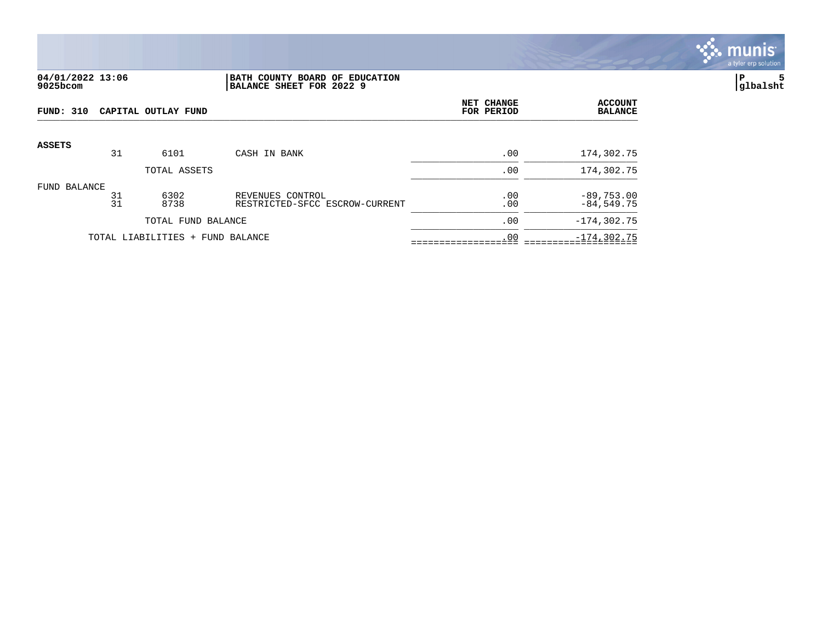

### **04/01/2022 13:06 |BATH COUNTY BOARD OF EDUCATION |P 5 9025bcom |BALANCE SHEET FOR 2022 9 |glbalsht**

| FUND: 310     |          | CAPITAL OUTLAY FUND              |                                                    | NET CHANGE<br>FOR PERIOD | <b>ACCOUNT</b><br><b>BALANCE</b> |
|---------------|----------|----------------------------------|----------------------------------------------------|--------------------------|----------------------------------|
| <b>ASSETS</b> |          |                                  |                                                    |                          |                                  |
|               | 31       | 6101                             | CASH IN BANK                                       | .00                      | 174,302.75                       |
|               |          | TOTAL ASSETS                     |                                                    | .00                      | 174,302.75                       |
| FUND BALANCE  | 31<br>31 | 6302<br>8738                     | REVENUES CONTROL<br>RESTRICTED-SFCC ESCROW-CURRENT | .00<br>.00               | $-89,753.00$<br>$-84,549.75$     |
|               |          | TOTAL FUND BALANCE               |                                                    | .00                      | $-174, 302.75$                   |
|               |          | TOTAL LIABILITIES + FUND BALANCE |                                                    | .00                      | $-174, 302.75$                   |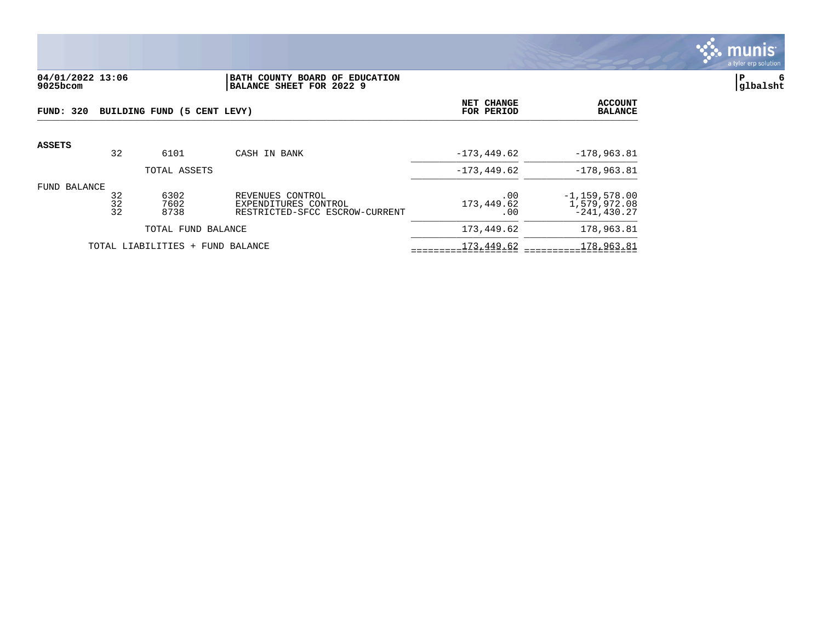

# **04/01/2022 13:06 |BATH COUNTY BOARD OF EDUCATION |P 6 9025bcom |BALANCE SHEET FOR 2022 9 |glbalsht**

| FUND: 320     |                | BUILDING FUND (5 CENT LEVY)      |                                                                            | <b>NET CHANGE</b><br>FOR PERIOD | <b>ACCOUNT</b><br><b>BALANCE</b>                   |
|---------------|----------------|----------------------------------|----------------------------------------------------------------------------|---------------------------------|----------------------------------------------------|
| <b>ASSETS</b> | 32             | 6101                             | CASH IN BANK                                                               | $-173, 449.62$                  | $-178,963.81$                                      |
|               |                | TOTAL ASSETS                     |                                                                            | $-173, 449.62$                  | $-178,963.81$                                      |
| FUND BALANCE  | 32<br>32<br>32 | 6302<br>7602<br>8738             | REVENUES CONTROL<br>EXPENDITURES CONTROL<br>RESTRICTED-SFCC ESCROW-CURRENT | .00<br>173,449.62<br>.00        | $-1, 159, 578.00$<br>1,579,972.08<br>$-241.430.27$ |
|               |                | TOTAL FUND BALANCE               |                                                                            | 173,449.62                      | 178,963.81                                         |
|               |                | TOTAL LIABILITIES + FUND BALANCE |                                                                            | 173,449.62                      | 178,963.81                                         |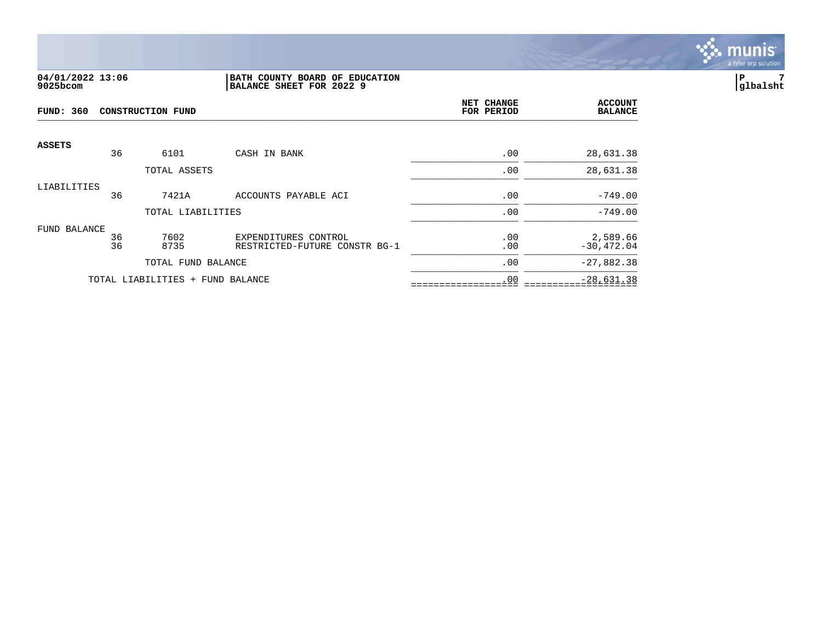

### **04/01/2022 13:06 |BATH COUNTY BOARD OF EDUCATION |P 7 9025bcom |BALANCE SHEET FOR 2022 9 |glbalsht**

| <b>FUND: 360</b><br>CONSTRUCTION FUND |          |                                  |                                                       | NET CHANGE<br>FOR PERIOD | <b>ACCOUNT</b><br><b>BALANCE</b> |
|---------------------------------------|----------|----------------------------------|-------------------------------------------------------|--------------------------|----------------------------------|
| <b>ASSETS</b>                         | 36       | 6101                             | CASH IN BANK                                          | .00                      | 28,631.38                        |
|                                       |          | TOTAL ASSETS                     |                                                       | .00                      | 28,631.38                        |
| LIABILITIES                           | 36       | 7421A                            | ACCOUNTS PAYABLE ACI                                  | .00                      | $-749.00$                        |
|                                       |          | TOTAL LIABILITIES                |                                                       | .00                      | $-749.00$                        |
| FUND BALANCE                          | 36<br>36 | 7602<br>8735                     | EXPENDITURES CONTROL<br>RESTRICTED-FUTURE CONSTR BG-1 | .00<br>.00               | 2,589.66<br>$-30, 472.04$        |
|                                       |          | TOTAL FUND BALANCE               |                                                       | .00                      | $-27,882.38$                     |
|                                       |          | TOTAL LIABILITIES + FUND BALANCE |                                                       | .00                      | $-28,631.38$                     |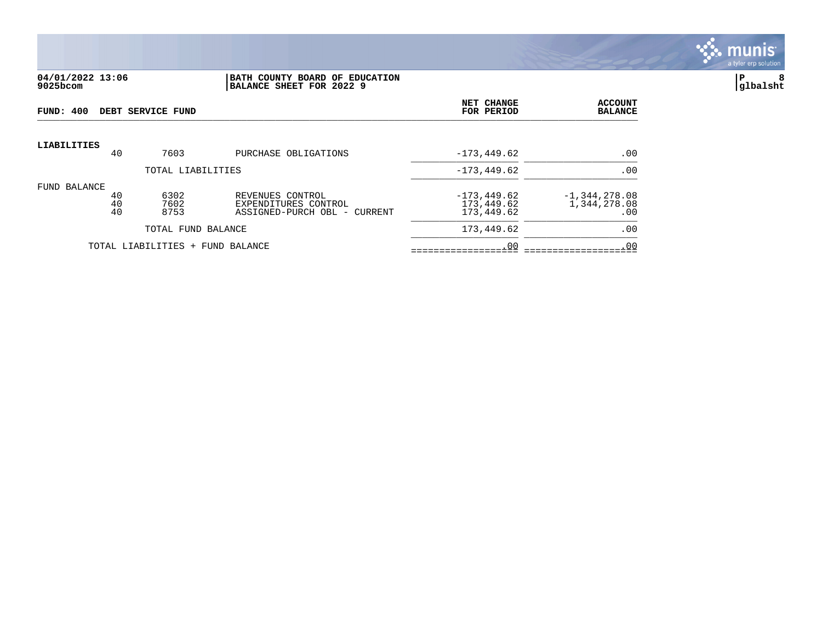

#### **04/01/2022 13:06 |BATH COUNTY BOARD OF EDUCATION |P 8 9025bcom |BALANCE SHEET FOR 2022 9 |glbalsht**

| FUND: 400          |                                                         |                | DEBT SERVICE FUND                |                                                                          | NET CHANGE<br>FOR PERIOD                   | <b>ACCOUNT</b><br><b>BALANCE</b>       |
|--------------------|---------------------------------------------------------|----------------|----------------------------------|--------------------------------------------------------------------------|--------------------------------------------|----------------------------------------|
| <b>LIABILITIES</b> |                                                         |                |                                  |                                                                          | $-173, 449.62$                             | .00                                    |
|                    | 40<br>7603<br>PURCHASE OBLIGATIONS<br>TOTAL LIABILITIES |                |                                  |                                                                          | $-173, 449.62$                             | .00                                    |
| FUND BALANCE       |                                                         | 40<br>40<br>40 | 6302<br>7602<br>8753             | REVENUES CONTROL<br>EXPENDITURES CONTROL<br>ASSIGNED-PURCH OBL - CURRENT | $-173, 449.62$<br>173,449.62<br>173,449.62 | $-1,344,278.08$<br>1,344,278.08<br>.00 |
|                    |                                                         |                | TOTAL FUND BALANCE               |                                                                          | 173,449.62                                 | .00                                    |
|                    |                                                         |                | TOTAL LIABILITIES + FUND BALANCE |                                                                          | .00                                        | .00                                    |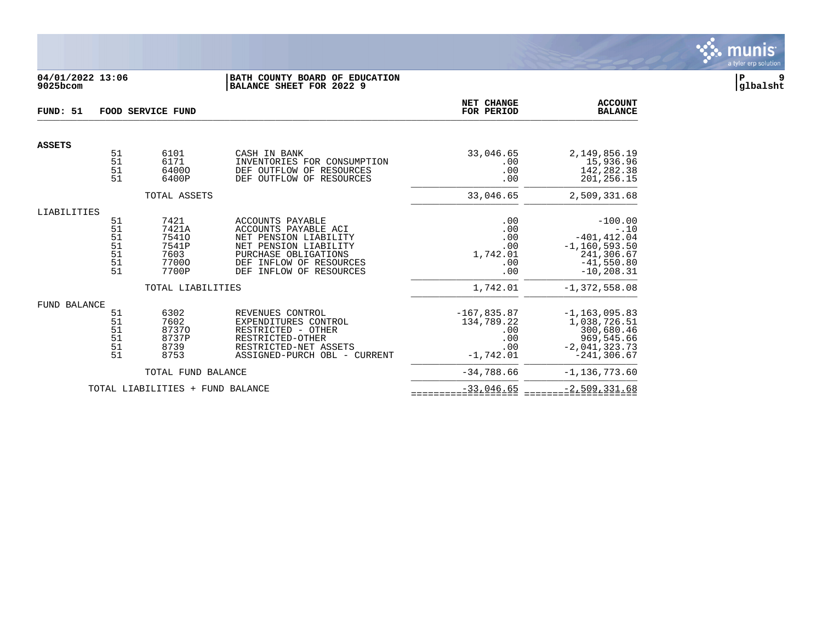

# **04/01/2022 13:06 |BATH COUNTY BOARD OF EDUCATION |P 9 9025bcom |BALANCE SHEET FOR 2022 9 |glbalsht**

| FUND: 51      |                                        | <b>FOOD SERVICE FUND</b>                                  |                                                                                                                                                                                       | NET CHANGE<br>FOR PERIOD                                        | <b>ACCOUNT</b><br><b>BALANCE</b>                                                                          |
|---------------|----------------------------------------|-----------------------------------------------------------|---------------------------------------------------------------------------------------------------------------------------------------------------------------------------------------|-----------------------------------------------------------------|-----------------------------------------------------------------------------------------------------------|
| <b>ASSETS</b> |                                        |                                                           |                                                                                                                                                                                       |                                                                 |                                                                                                           |
|               | 51<br>51<br>51<br>51                   | 6101<br>6171<br>64000<br>6400P                            | CASH IN BANK<br>INVENTORIES FOR CONSUMPTION<br>DEF OUTFLOW OF<br>RESOURCES<br>DEF OUTFLOW OF<br>RESOURCES                                                                             | 33,046.65<br>.00<br>.00<br>.00                                  | 2,149,856.19<br>15,936.96<br>142,282.38<br>201,256.15                                                     |
|               |                                        | TOTAL ASSETS                                              |                                                                                                                                                                                       | 33,046.65                                                       | 2,509,331.68                                                                                              |
| LIABILITIES   | 51<br>51<br>51<br>51<br>51<br>51<br>51 | 7421<br>7421A<br>75410<br>7541P<br>7603<br>77000<br>7700P | ACCOUNTS PAYABLE<br>ACCOUNTS PAYABLE ACI<br>NET PENSION LIABILITY<br>NET PENSION LIABILITY<br>PURCHASE OBLIGATIONS<br>INFLOW OF RESOURCES<br><b>DEF</b><br>DEF<br>INFLOW OF RESOURCES | .00<br>.00<br>.00<br>.00<br>1,742.01<br>.00<br>.00              | $-100.00$<br>$-.10$<br>$-401, 412.04$<br>$-1, 160, 593.50$<br>241,306.67<br>$-41,550.80$<br>$-10, 208.31$ |
|               |                                        | TOTAL LIABILITIES                                         |                                                                                                                                                                                       | 1,742.01                                                        | $-1,372,558.08$                                                                                           |
| FUND BALANCE  | 51<br>51<br>51<br>51<br>51<br>51       | 6302<br>7602<br>87370<br>8737P<br>8739<br>8753            | REVENUES CONTROL<br>EXPENDITURES CONTROL<br>RESTRICTED - OTHER<br>RESTRICTED-OTHER<br>RESTRICTED-NET ASSETS<br>ASSIGNED-PURCH OBL - CURRENT                                           | $-167,835.87$<br>134,789.22<br>.00<br>.00<br>.00<br>$-1,742.01$ | $-1, 163, 095.83$<br>1,038,726.51<br>300,680.46<br>969,545.66<br>$-2,041,323.73$<br>$-241, 306.67$        |
|               |                                        | TOTAL FUND BALANCE                                        |                                                                                                                                                                                       | $-34,788.66$                                                    | $-1, 136, 773.60$                                                                                         |
|               |                                        | TOTAL LIABILITIES + FUND BALANCE                          |                                                                                                                                                                                       | $-33,046.65$                                                    | $-2,509,331.68$                                                                                           |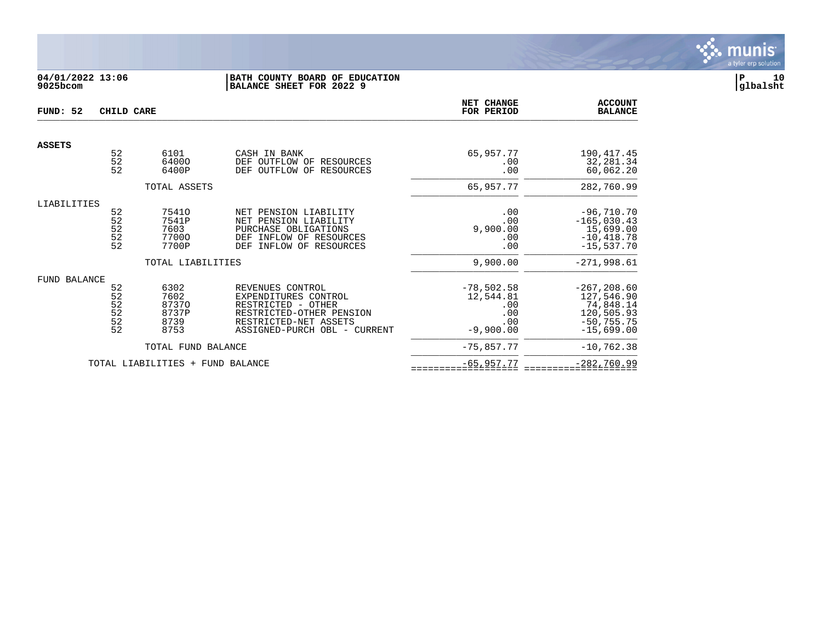

# **04/01/2022 13:06 |BATH COUNTY BOARD OF EDUCATION |P 10 9025bcom |BALANCE SHEET FOR 2022 9 |glbalsht**

| FUND: 52            | CHILD CARE                                                       |                                                               | <b>NET CHANGE</b><br>FOR PERIOD                                                                                                                     | <b>ACCOUNT</b><br><b>BALANCE</b>                              |                                                                                              |
|---------------------|------------------------------------------------------------------|---------------------------------------------------------------|-----------------------------------------------------------------------------------------------------------------------------------------------------|---------------------------------------------------------------|----------------------------------------------------------------------------------------------|
| <b>ASSETS</b>       |                                                                  |                                                               |                                                                                                                                                     |                                                               |                                                                                              |
|                     | 52<br>52<br>52                                                   | 6101<br>64000<br>6400P                                        | CASH IN BANK<br>DEF OUTFLOW OF<br>RESOURCES<br>OUTFLOW OF<br>DEF<br>RESOURCES                                                                       | 65,957.77<br>.00<br>.00                                       | 190, 417. 45<br>32, 281.34<br>60,062.20                                                      |
|                     |                                                                  | TOTAL ASSETS                                                  |                                                                                                                                                     | 65,957.77                                                     | 282,760.99                                                                                   |
| LIABILITIES         | 52<br>$\frac{52}{52}$<br>$\begin{array}{c} 52 \\ 52 \end{array}$ | 75410<br>7541P<br>7603<br>77000<br>7700P<br>TOTAL LIABILITIES | NET PENSION LIABILITY<br>NET PENSION LIABILITY<br>PURCHASE OBLIGATIONS<br>INFLOW OF RESOURCES<br>DEF<br>INFLOW OF RESOURCES<br><b>DEF</b>           | .00<br>.00<br>9,900.00<br>.00<br>.00<br>9,900.00              | $-96,710.70$<br>$-165,030.43$<br>15,699.00<br>$-10, 418.78$<br>$-15,537.70$<br>$-271,998.61$ |
| <b>FUND BALANCE</b> | 52<br>52<br>$\frac{52}{52}$<br>$\frac{5}{2}$                     | 6302<br>7602<br>87370<br>8737P<br>8739<br>8753                | REVENUES CONTROL<br>EXPENDITURES CONTROL<br>RESTRICTED - OTHER<br>RESTRICTED-OTHER PENSION<br>RESTRICTED-NET ASSETS<br>ASSIGNED-PURCH OBL - CURRENT | $-78,502.58$<br>12,544.81<br>.00<br>.00<br>.00<br>$-9,900.00$ | $-267, 208.60$<br>127,546.90<br>74,848.14<br>120,505.93<br>$-50, 755.75$<br>$-15,699.00$     |
|                     |                                                                  | TOTAL FUND BALANCE                                            |                                                                                                                                                     | $-75,857.77$                                                  | $-10, 762.38$                                                                                |
|                     |                                                                  | TOTAL LIABILITIES + FUND BALANCE                              |                                                                                                                                                     | $-65,957.77$                                                  | $-282,760.99$                                                                                |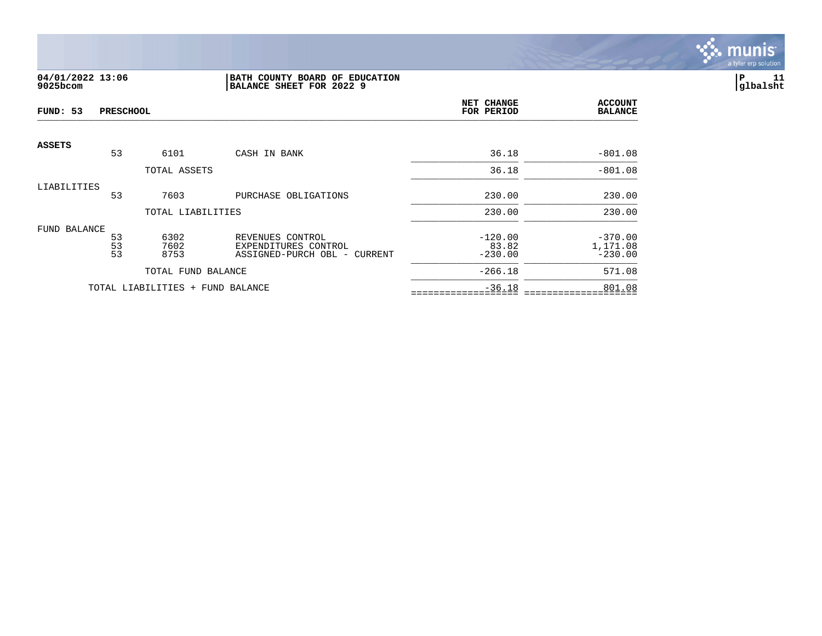

# **04/01/2022 13:06 |BATH COUNTY BOARD OF EDUCATION |P 11 9025bcom |BALANCE SHEET FOR 2022 9 |glbalsht**

| FUND: 53      | <b>PRESCHOOL</b> |                                  |                                                                          | NET CHANGE<br>FOR PERIOD        | <b>ACCOUNT</b><br><b>BALANCE</b>   |
|---------------|------------------|----------------------------------|--------------------------------------------------------------------------|---------------------------------|------------------------------------|
| <b>ASSETS</b> | 53               | 6101                             | CASH IN BANK                                                             | 36.18                           | $-801.08$                          |
|               |                  | TOTAL ASSETS                     |                                                                          | 36.18                           | $-801.08$                          |
| LIABILITIES   | 53               | 7603                             | PURCHASE OBLIGATIONS                                                     | 230.00                          | 230.00                             |
|               |                  | TOTAL LIABILITIES                |                                                                          | 230.00                          | 230.00                             |
| FUND BALANCE  | 53<br>53<br>53   | 6302<br>7602<br>8753             | REVENUES CONTROL<br>EXPENDITURES CONTROL<br>ASSIGNED-PURCH OBL - CURRENT | $-120.00$<br>83.82<br>$-230.00$ | $-370.00$<br>1,171.08<br>$-230.00$ |
|               |                  | TOTAL FUND BALANCE               |                                                                          | $-266.18$                       | 571.08                             |
|               |                  | TOTAL LIABILITIES + FUND BALANCE |                                                                          | $-36.18$                        | 801.08                             |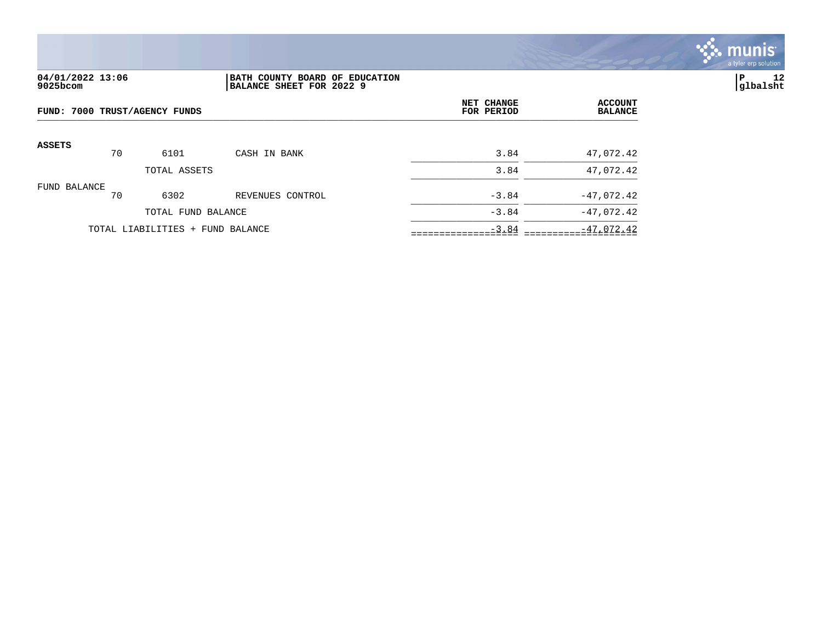

# **04/01/2022 13:06 |BATH COUNTY BOARD OF EDUCATION |P 12 9025bcom |BALANCE SHEET FOR 2022 9 |glbalsht**

| FUND: 7000 TRUST/AGENCY FUNDS |    |                                  |                  | NET CHANGE<br>FOR PERIOD | <b>ACCOUNT</b><br><b>BALANCE</b> |
|-------------------------------|----|----------------------------------|------------------|--------------------------|----------------------------------|
| <b>ASSETS</b>                 | 70 | 6101                             | CASH IN BANK     | 3.84                     | 47,072.42                        |
|                               |    | TOTAL ASSETS                     |                  | 3.84                     | 47,072.42                        |
| FUND BALANCE                  | 70 | 6302                             | REVENUES CONTROL | $-3.84$                  | $-47,072.42$                     |
|                               |    | TOTAL FUND BALANCE               |                  | $-3.84$                  | $-47,072.42$                     |
|                               |    | TOTAL LIABILITIES + FUND BALANCE |                  | $-3.84$                  | $-47,072.42$                     |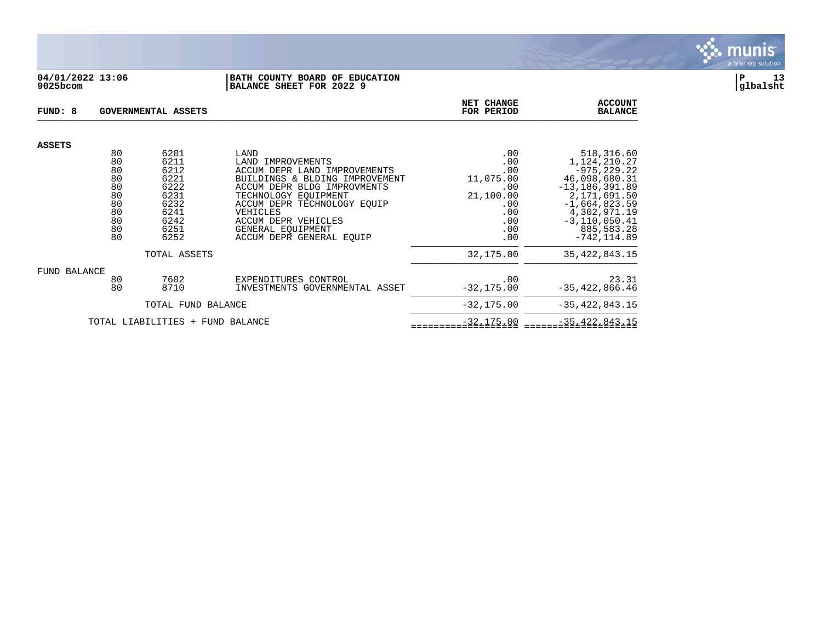

### **04/01/2022 13:06 |BATH COUNTY BOARD OF EDUCATION |P 13 9025bcom |BALANCE SHEET FOR 2022 9 |glbalsht**

| FUND: 8                                  |          | <b>GOVERNMENTAL ASSETS</b> | NET CHANGE<br>FOR PERIOD                                       | <b>ACCOUNT</b><br><b>BALANCE</b> |                                    |
|------------------------------------------|----------|----------------------------|----------------------------------------------------------------|----------------------------------|------------------------------------|
| <b>ASSETS</b>                            |          |                            |                                                                |                                  |                                    |
|                                          | 80<br>80 | 6201<br>6211               | LAND<br>LAND IMPROVEMENTS                                      | .00<br>.00                       | 518,316.60<br>1,124,210.27         |
|                                          | 80<br>80 | 6212<br>6221               | ACCUM DEPR LAND IMPROVEMENTS<br>BUILDINGS & BLDING IMPROVEMENT | .00<br>11,075.00                 | $-975, 229.22$<br>46,098,680.31    |
|                                          | 80<br>80 | 6222<br>6231               | ACCUM DEPR BLDG IMPROVMENTS<br>TECHNOLOGY EQUIPMENT            | .00<br>21,100.00                 | $-13, 186, 391.89$<br>2,171,691.50 |
|                                          | 80       | 6232                       | ACCUM DEPR TECHNOLOGY EOUIP                                    | .00                              | $-1,664,823.59$                    |
|                                          | 80       | 6241                       | VEHICLES                                                       | .00                              | 4,302,971.19                       |
|                                          | 80<br>80 | 6242<br>6251               | <b>ACCUM DEPR VEHICLES</b><br>GENERAL EOUIPMENT                | .00<br>.00                       | $-3, 110, 050.41$<br>885,583.28    |
|                                          | 80       | 6252                       | ACCUM DEPR GENERAL EOUIP                                       | .00                              | $-742, 114.89$                     |
| TOTAL ASSETS                             |          |                            |                                                                | 32,175.00                        | 35, 422, 843. 15                   |
| FUND BALANCE                             |          |                            |                                                                |                                  |                                    |
|                                          | 80       | 7602                       | EXPENDITURES CONTROL                                           | .00                              | 23.31                              |
|                                          | 80       | 8710                       | INVESTMENTS GOVERNMENTAL ASSET                                 | $-32, 175.00$                    | $-35,422,866.46$                   |
| TOTAL FUND BALANCE                       |          |                            |                                                                | $-32, 175.00$                    | $-35, 422, 843.15$                 |
| TOTAL LIABILITIES<br>FUND BALANCE<br>$+$ |          |                            |                                                                | $-32, 175.00$                    | $-35, 422, 843.15$                 |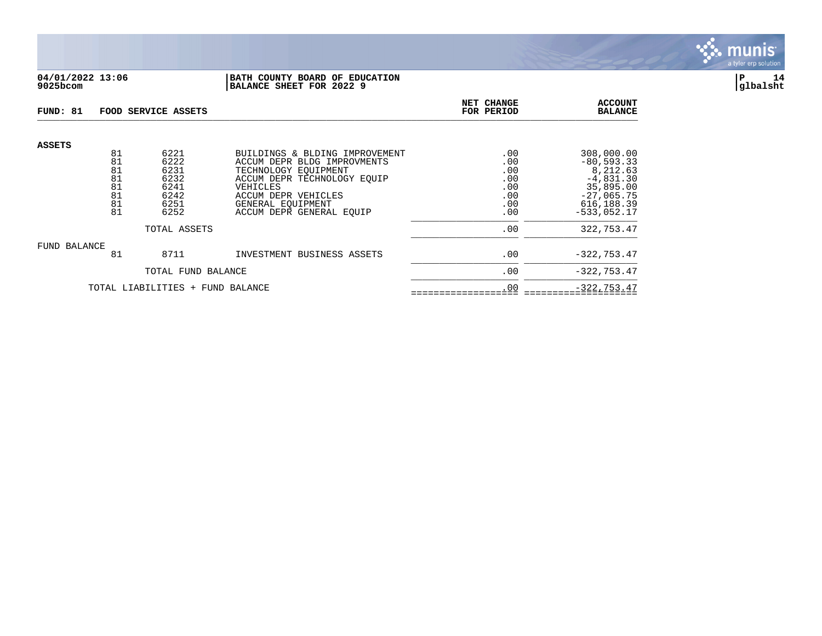

## **04/01/2022 13:06 |BATH COUNTY BOARD OF EDUCATION |P 14 9025bcom |BALANCE SHEET FOR 2022 9 |glbalsht**

| FUND: 81                         |                                  | FOOD SERVICE ASSETS                          |                                                                                                                                                         | NET CHANGE<br>FOR PERIOD               | <b>ACCOUNT</b><br><b>BALANCE</b>                                                    |
|----------------------------------|----------------------------------|----------------------------------------------|---------------------------------------------------------------------------------------------------------------------------------------------------------|----------------------------------------|-------------------------------------------------------------------------------------|
| <b>ASSETS</b>                    | 81<br>81<br>81<br>81<br>81<br>81 | 6221<br>6222<br>6231<br>6232<br>6241<br>6242 | BUILDINGS & BLDING IMPROVEMENT<br>ACCUM DEPR BLDG IMPROVMENTS<br>TECHNOLOGY EOUIPMENT<br>ACCUM DEPR TECHNOLOGY EOUIP<br>VEHICLES<br>ACCUM DEPR VEHICLES | .00<br>.00<br>.00<br>.00<br>.00<br>.00 | 308,000.00<br>$-80, 593.33$<br>8,212.63<br>$-4,831.30$<br>35,895.00<br>$-27,065.75$ |
|                                  | 81<br>81                         | 6251<br>6252                                 | GENERAL EOUIPMENT<br>ACCUM DEPR GENERAL EQUIP                                                                                                           | .00<br>.00                             | 616, 188.39<br>$-533,052.17$                                                        |
|                                  |                                  | TOTAL ASSETS                                 |                                                                                                                                                         | .00                                    | 322,753.47                                                                          |
| FUND BALANCE                     | 81                               | 8711                                         | INVESTMENT BUSINESS ASSETS                                                                                                                              | .00                                    | $-322, 753.47$                                                                      |
|                                  |                                  | TOTAL FUND BALANCE                           |                                                                                                                                                         | .00                                    | $-322, 753.47$                                                                      |
| TOTAL LIABILITIES + FUND BALANCE |                                  |                                              |                                                                                                                                                         | .00                                    | $-322, 753.47$                                                                      |